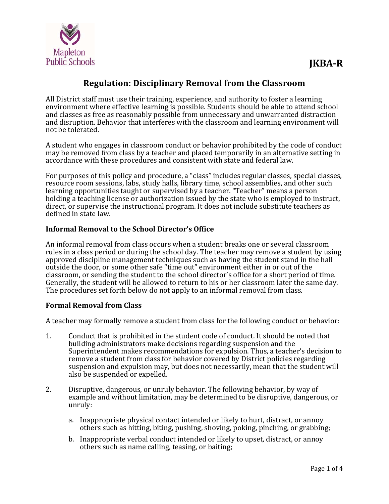

# **Regulation: Disciplinary Removal from the Classroom**

All District staff must use their training, experience, and authority to foster a learning environment where effective learning is possible. Students should be able to attend school and classes as free as reasonably possible from unnecessary and unwarranted distraction and disruption. Behavior that interferes with the classroom and learning environment will not be tolerated.

A student who engages in classroom conduct or behavior prohibited by the code of conduct may be removed from class by a teacher and placed temporarily in an alternative setting in accordance with these procedures and consistent with state and federal law.

For purposes of this policy and procedure, a "class" includes regular classes, special classes, resource room sessions, labs, study halls, library time, school assemblies, and other such learning opportunities taught or supervised by a teacher. "Teacher" means a person holding a teaching license or authorization issued by the state who is employed to instruct, direct, or supervise the instructional program. It does not include substitute teachers as defined in state law.

### **Informal Removal to the School Director's Office**

An informal removal from class occurs when a student breaks one or several classroom rules in a class period or during the school day. The teacher may remove a student by using approved discipline management techniques such as having the student stand in the hall outside the door, or some other safe "time out" environment either in or out of the classroom, or sending the student to the school director's office for a short period of time. Generally, the student will be allowed to return to his or her classroom later the same day. The procedures set forth below do not apply to an informal removal from class.

#### **Formal Removal from Class**

A teacher may formally remove a student from class for the following conduct or behavior:

- 1. Conduct that is prohibited in the student code of conduct. It should be noted that building administrators make decisions regarding suspension and the Superintendent makes recommendations for expulsion. Thus, a teacher's decision to remove a student from class for behavior covered by District policies regarding suspension and expulsion may, but does not necessarily, mean that the student will also be suspended or expelled.
- 2. Disruptive, dangerous, or unruly behavior. The following behavior, by way of example and without limitation, may be determined to be disruptive, dangerous, or unruly:
	- a. Inappropriate physical contact intended or likely to hurt, distract, or annoy others such as hitting, biting, pushing, shoving, poking, pinching, or grabbing;
	- b. Inappropriate verbal conduct intended or likely to upset, distract, or annoy others such as name calling, teasing, or baiting;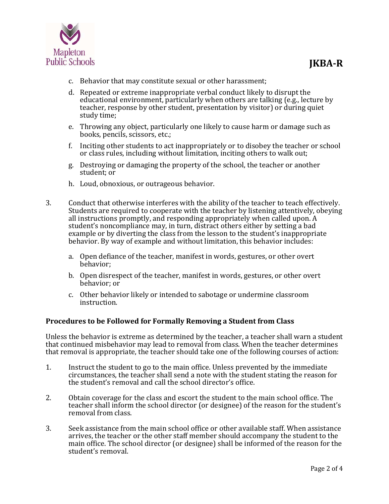

- c. Behavior that may constitute sexual or other harassment;
- d. Repeated or extreme inappropriate verbal conduct likely to disrupt the educational environment, particularly when others are talking (e.g., lecture by teacher, response by other student, presentation by visitor) or during quiet study time;
- e. Throwing any object, particularly one likely to cause harm or damage such as books, pencils, scissors, etc.;
- f. Inciting other students to act inappropriately or to disobey the teacher or school or class rules, including without limitation, inciting others to walk out;
- g. Destroying or damaging the property of the school, the teacher or another student; or
- h. Loud, obnoxious, or outrageous behavior.
- 3. Conduct that otherwise interferes with the ability of the teacher to teach effectively. Students are required to cooperate with the teacher by listening attentively, obeying all instructions promptly, and responding appropriately when called upon. A student's noncompliance may, in turn, distract others either by setting a bad example or by diverting the class from the lesson to the student's inappropriate behavior. By way of example and without limitation, this behavior includes:
	- a. Open defiance of the teacher, manifest in words, gestures, or other overt behavior;
	- b. Open disrespect of the teacher, manifest in words, gestures, or other overt behavior; or
	- c. Other behavior likely or intended to sabotage or undermine classroom instruction.

#### **Procedures to be Followed for Formally Removing a Student from Class**

Unless the behavior is extreme as determined by the teacher, a teacher shall warn a student that continued misbehavior may lead to removal from class. When the teacher determines that removal is appropriate, the teacher should take one of the following courses of action:

- 1. Instruct the student to go to the main office. Unless prevented by the immediate circumstances, the teacher shall send a note with the student stating the reason for the student's removal and call the school director's office.
- 2. Obtain coverage for the class and escort the student to the main school office. The teacher shall inform the school director (or designee) of the reason for the student's removal from class.
- 3. Seek assistance from the main school office or other available staff. When assistance arrives, the teacher or the other staff member should accompany the student to the main office. The school director (or designee) shall be informed of the reason for the student's removal.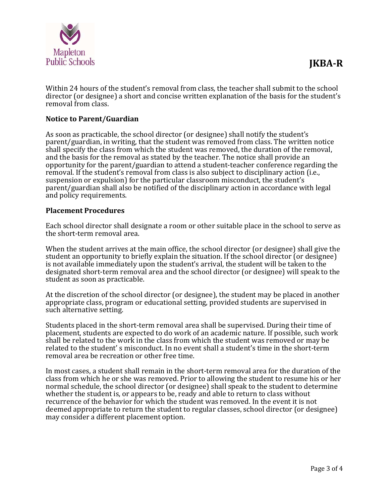

Within 24 hours of the student's removal from class, the teacher shall submit to the school director (or designee) a short and concise written explanation of the basis for the student's removal from class.

### **Notice to Parent/Guardian**

As soon as practicable, the school director (or designee) shall notify the student's parent/guardian, in writing, that the student was removed from class. The written notice shall specify the class from which the student was removed, the duration of the removal, and the basis for the removal as stated by the teacher. The notice shall provide an opportunity for the parent/guardian to attend a student-teacher conference regarding the removal. If the student's removal from class is also subject to disciplinary action (i.e., suspension or expulsion) for the particular classroom misconduct, the student's parent/guardian shall also be notified of the disciplinary action in accordance with legal and policy requirements.

#### **Placement Procedures**

Each school director shall designate a room or other suitable place in the school to serve as the short-term removal area.

When the student arrives at the main office, the school director (or designee) shall give the student an opportunity to briefly explain the situation. If the school director (or designee) is not available immediately upon the student's arrival, the student will be taken to the designated short-term removal area and the school director (or designee) will speak to the student as soon as practicable.

At the discretion of the school director (or designee), the student may be placed in another appropriate class, program or educational setting, provided students are supervised in such alternative setting.

Students placed in the short-term removal area shall be supervised. During their time of placement, students are expected to do work of an academic nature. If possible, such work shall be related to the work in the class from which the student was removed or may be related to the student' s misconduct. In no event shall a student's time in the short-term removal area be recreation or other free time.

In most cases, a student shall remain in the short-term removal area for the duration of the class from which he or she was removed. Prior to allowing the student to resume his or her normal schedule, the school director (or designee) shall speak to the student to determine whether the student is, or appears to be, ready and able to return to class without recurrence of the behavior for which the student was removed. In the event it is not deemed appropriate to return the student to regular classes, school director (or designee) may consider a different placement option.